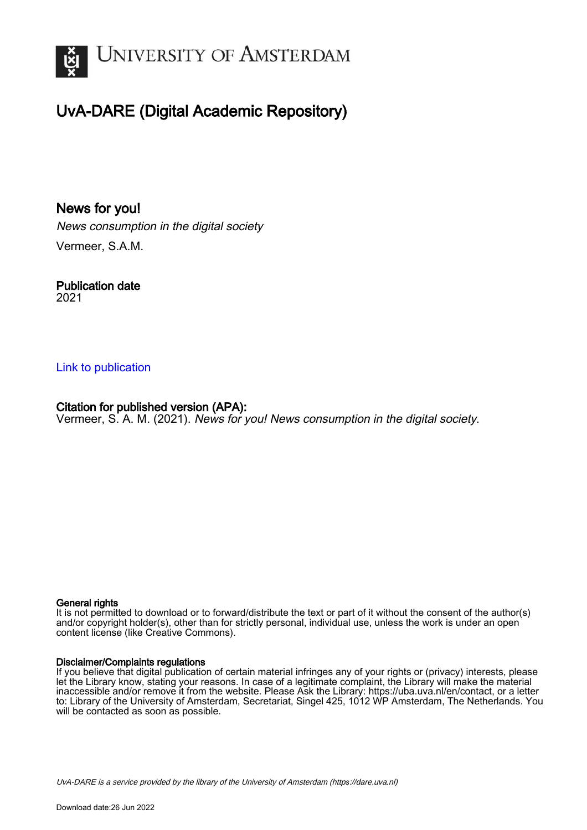

# UvA-DARE (Digital Academic Repository)

News for you! News consumption in the digital society Vermeer, S.A.M.

Publication date 2021

#### [Link to publication](https://dare.uva.nl/personal/pure/en/publications/news-for-you(936ffb9b-7732-4254-8044-b1577b836bc5).html)

Citation for published version (APA): Vermeer, S. A. M. (2021). News for you! News consumption in the digital society.

#### General rights

It is not permitted to download or to forward/distribute the text or part of it without the consent of the author(s) and/or copyright holder(s), other than for strictly personal, individual use, unless the work is under an open content license (like Creative Commons).

#### Disclaimer/Complaints regulations

If you believe that digital publication of certain material infringes any of your rights or (privacy) interests, please let the Library know, stating your reasons. In case of a legitimate complaint, the Library will make the material inaccessible and/or remove it from the website. Please Ask the Library: https://uba.uva.nl/en/contact, or a letter to: Library of the University of Amsterdam, Secretariat, Singel 425, 1012 WP Amsterdam, The Netherlands. You will be contacted as soon as possible.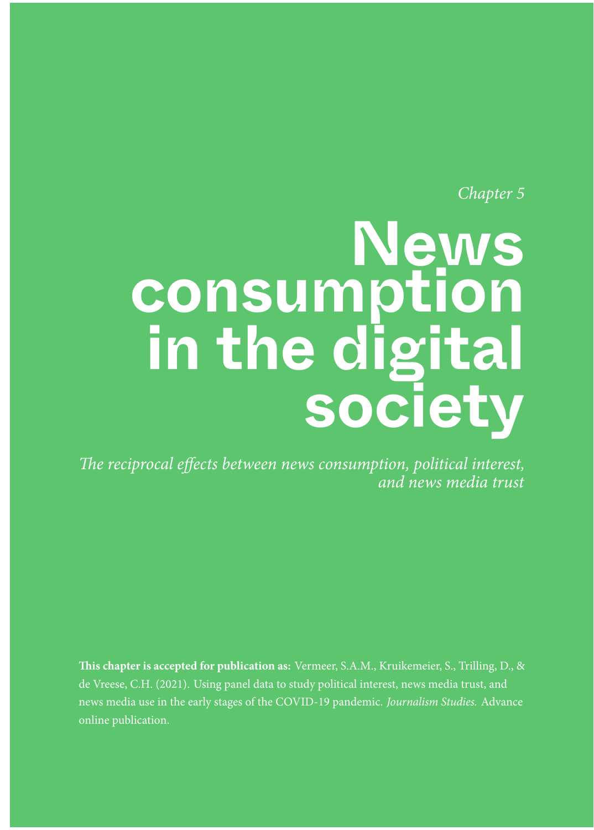Chapter 5

# **News consumption in the digital society**

The reciprocal effects between news consumption, political interest, and news media trust

**This chapter is accepted for publication as:** Vermeer, S.A.M., Kruikemeier, S., Trilling, D., & de Vreese, C.H. (2021). Using panel data to study political interest, news media trust, and news media use in the early stages of the COVID-19 pandemic. Journalism Studies. Advance online publication.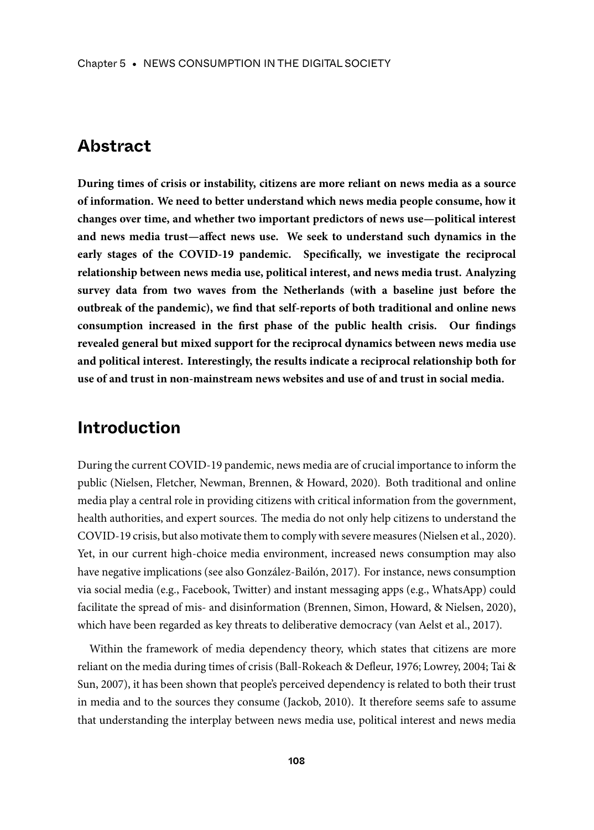### **Abstract**

**During times of crisis or instability, citizens are more reliant on news media as a source of information. We need to better understand which news media people consume, how it changes over time, and whether two important predictors of news use—political interest and news media trust—affect news use. We seek to understand such dynamics in the early stages of the COVID-19 pandemic. Specifically, we investigate the reciprocal relationship between news media use, political interest, and news media trust. Analyzing survey data from two waves from the Netherlands (with a baseline just before the outbreak of the pandemic), we find that self-reports of both traditional and online news consumption increased in the first phase of the public health crisis. Our findings revealed general but mixed support for the reciprocal dynamics between news media use and political interest. Interestingly, the results indicate a reciprocal relationship both for use of and trust in non-mainstream news websites and use of and trust in social media.**

# **Introduction**

During the current COVID-19 pandemic, news media are of crucial importance to inform the public (Nielsen, Fletcher, Newman, Brennen, & Howard, 2020). Both traditional and online media play a central role in providing citizens with critical information from the government, health authorities, and expert sources. The media do not only help citizens to understand the COVID-19 crisis, but also motivate them to comply with severe measures (Nielsen et al., 2020). Yet, in our current high-choice media environment, increased news consumption may also have negative implications (see also González-Bailón, 2017). For instance, news consumption via social media (e.g., Facebook, Twitter) and instant messaging apps (e.g., WhatsApp) could facilitate the spread of mis- and disinformation (Brennen, Simon, Howard, & Nielsen, 2020), which have been regarded as key threats to deliberative democracy (van Aelst et al., 2017).

Within the framework of media dependency theory, which states that citizens are more reliant on the media during times of crisis (Ball-Rokeach & Defleur, 1976; Lowrey, 2004; Tai & Sun, 2007), it has been shown that people's perceived dependency is related to both their trust in media and to the sources they consume (Jackob, 2010). It therefore seems safe to assume that understanding the interplay between news media use, political interest and news media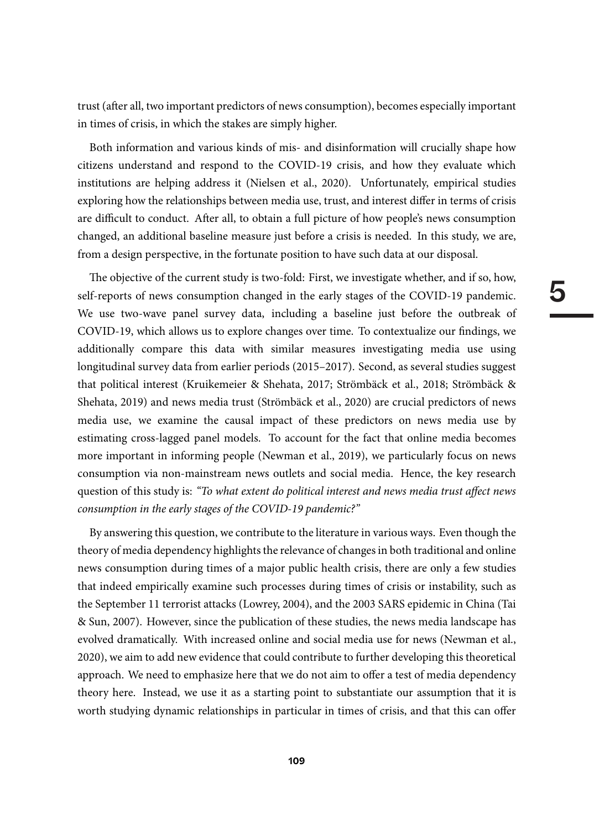trust (after all, two important predictors of news consumption), becomes especially important in times of crisis, in which the stakes are simply higher.

Both information and various kinds of mis- and disinformation will crucially shape how citizens understand and respond to the COVID-19 crisis, and how they evaluate which institutions are helping address it (Nielsen et al., 2020). Unfortunately, empirical studies exploring how the relationships between media use, trust, and interest differ in terms of crisis are difficult to conduct. After all, to obtain a full picture of how people's news consumption changed, an additional baseline measure just before a crisis is needed. In this study, we are, from a design perspective, in the fortunate position to have such data at our disposal.

The objective of the current study is two-fold: First, we investigate whether, and if so, how, self-reports of news consumption changed in the early stages of the COVID-19 pandemic. We use two-wave panel survey data, including a baseline just before the outbreak of COVID-19, which allows us to explore changes over time. To contextualize our findings, we additionally compare this data with similar measures investigating media use using longitudinal survey data from earlier periods (2015–2017). Second, as several studies suggest that political interest (Kruikemeier & Shehata, 2017; Strömbäck et al., 2018; Strömbäck & Shehata, 2019) and news media trust (Strömbäck et al., 2020) are crucial predictors of news media use, we examine the causal impact of these predictors on news media use by estimating cross-lagged panel models. To account for the fact that online media becomes more important in informing people (Newman et al., 2019), we particularly focus on news consumption via non-mainstream news outlets and social media. Hence, the key research question of this study is: "To what extent do political interest and news media trust affect news consumption in the early stages of the COVID-19 pandemic?"

By answering this question, we contribute to the literature in various ways. Even though the theory of media dependency highlights the relevance of changes in both traditional and online news consumption during times of a major public health crisis, there are only a few studies that indeed empirically examine such processes during times of crisis or instability, such as the September 11 terrorist attacks (Lowrey, 2004), and the 2003 SARS epidemic in China (Tai & Sun, 2007). However, since the publication of these studies, the news media landscape has evolved dramatically. With increased online and social media use for news (Newman et al., 2020), we aim to add new evidence that could contribute to further developing this theoretical approach. We need to emphasize here that we do not aim to offer a test of media dependency theory here. Instead, we use it as a starting point to substantiate our assumption that it is worth studying dynamic relationships in particular in times of crisis, and that this can offer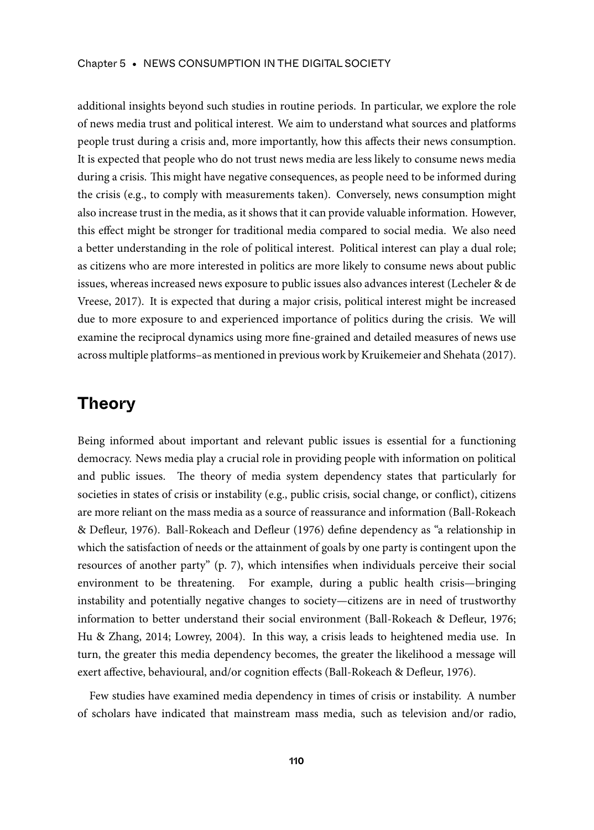additional insights beyond such studies in routine periods. In particular, we explore the role of news media trust and political interest. We aim to understand what sources and platforms people trust during a crisis and, more importantly, how this affects their news consumption. It is expected that people who do not trust news media are less likely to consume news media during a crisis. This might have negative consequences, as people need to be informed during the crisis (e.g., to comply with measurements taken). Conversely, news consumption might also increase trust in the media, as it shows that it can provide valuable information. However, this effect might be stronger for traditional media compared to social media. We also need a better understanding in the role of political interest. Political interest can play a dual role; as citizens who are more interested in politics are more likely to consume news about public issues, whereas increased news exposure to public issues also advances interest (Lecheler & de Vreese, 2017). It is expected that during a major crisis, political interest might be increased due to more exposure to and experienced importance of politics during the crisis. We will examine the reciprocal dynamics using more fine-grained and detailed measures of news use across multiple platforms–as mentioned in previous work by Kruikemeier and Shehata (2017).

# **Theory**

Being informed about important and relevant public issues is essential for a functioning democracy. News media play a crucial role in providing people with information on political and public issues. The theory of media system dependency states that particularly for societies in states of crisis or instability (e.g., public crisis, social change, or conflict), citizens are more reliant on the mass media as a source of reassurance and information (Ball-Rokeach & Defleur, 1976). Ball-Rokeach and Defleur (1976) define dependency as "a relationship in which the satisfaction of needs or the attainment of goals by one party is contingent upon the resources of another party" (p. 7), which intensifies when individuals perceive their social environment to be threatening. For example, during a public health crisis—bringing instability and potentially negative changes to society—citizens are in need of trustworthy information to better understand their social environment (Ball-Rokeach & Defleur, 1976; Hu & Zhang, 2014; Lowrey, 2004). In this way, a crisis leads to heightened media use. In turn, the greater this media dependency becomes, the greater the likelihood a message will exert affective, behavioural, and/or cognition effects (Ball-Rokeach & Defleur, 1976).

Few studies have examined media dependency in times of crisis or instability. A number of scholars have indicated that mainstream mass media, such as television and/or radio,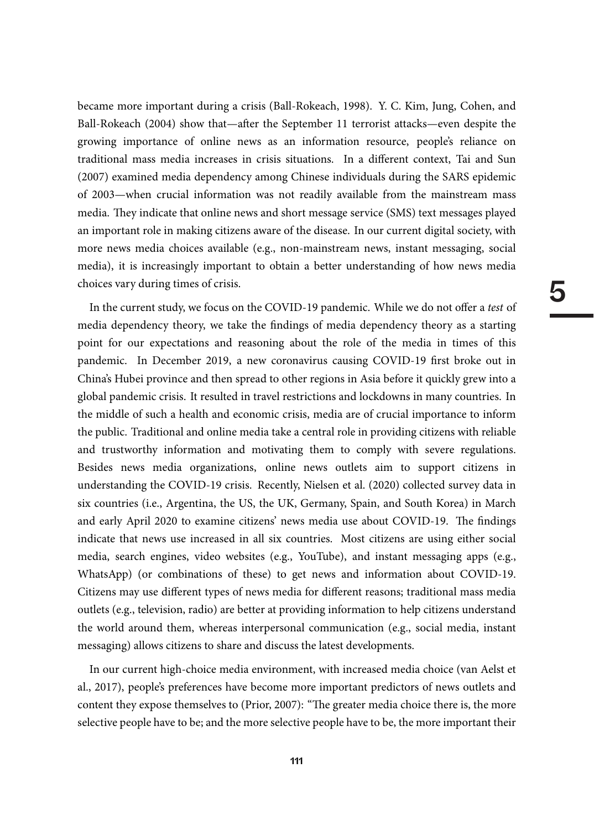became more important during a crisis (Ball-Rokeach, 1998). Y. C. Kim, Jung, Cohen, and Ball-Rokeach (2004) show that—after the September 11 terrorist attacks—even despite the growing importance of online news as an information resource, people's reliance on traditional mass media increases in crisis situations. In a different context, Tai and Sun (2007) examined media dependency among Chinese individuals during the SARS epidemic of 2003—when crucial information was not readily available from the mainstream mass media. They indicate that online news and short message service (SMS) text messages played an important role in making citizens aware of the disease. In our current digital society, with more news media choices available (e.g., non-mainstream news, instant messaging, social media), it is increasingly important to obtain a better understanding of how news media choices vary during times of crisis.

In the current study, we focus on the COVID-19 pandemic. While we do not offer a test of media dependency theory, we take the findings of media dependency theory as a starting point for our expectations and reasoning about the role of the media in times of this pandemic. In December 2019, a new coronavirus causing COVID-19 first broke out in China's Hubei province and then spread to other regions in Asia before it quickly grew into a global pandemic crisis. It resulted in travel restrictions and lockdowns in many countries. In the middle of such a health and economic crisis, media are of crucial importance to inform the public. Traditional and online media take a central role in providing citizens with reliable and trustworthy information and motivating them to comply with severe regulations. Besides news media organizations, online news outlets aim to support citizens in understanding the COVID-19 crisis. Recently, Nielsen et al. (2020) collected survey data in six countries (i.e., Argentina, the US, the UK, Germany, Spain, and South Korea) in March and early April 2020 to examine citizens' news media use about COVID-19. The findings indicate that news use increased in all six countries. Most citizens are using either social media, search engines, video websites (e.g., YouTube), and instant messaging apps (e.g., WhatsApp) (or combinations of these) to get news and information about COVID-19. Citizens may use different types of news media for different reasons; traditional mass media outlets (e.g., television, radio) are better at providing information to help citizens understand the world around them, whereas interpersonal communication (e.g., social media, instant messaging) allows citizens to share and discuss the latest developments.

In our current high-choice media environment, with increased media choice (van Aelst et al., 2017), people's preferences have become more important predictors of news outlets and content they expose themselves to (Prior, 2007): "The greater media choice there is, the more selective people have to be; and the more selective people have to be, the more important their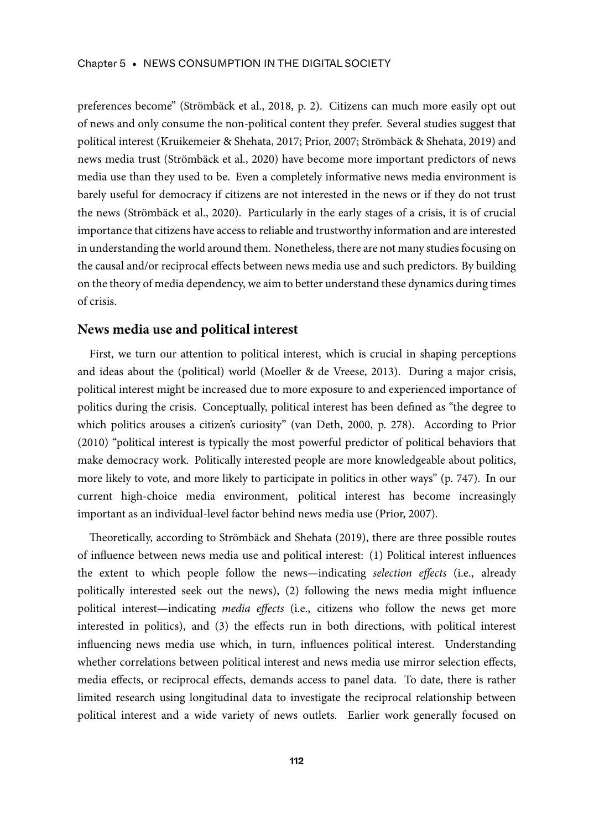preferences become" (Strömbäck et al., 2018, p. 2). Citizens can much more easily opt out of news and only consume the non-political content they prefer. Several studies suggest that political interest (Kruikemeier & Shehata, 2017; Prior, 2007; Strömbäck & Shehata, 2019) and news media trust (Strömbäck et al., 2020) have become more important predictors of news media use than they used to be. Even a completely informative news media environment is barely useful for democracy if citizens are not interested in the news or if they do not trust the news (Strömbäck et al., 2020). Particularly in the early stages of a crisis, it is of crucial importance that citizens have access to reliable and trustworthy information and are interested in understanding the world around them. Nonetheless, there are not many studies focusing on the causal and/or reciprocal effects between news media use and such predictors. By building on the theory of media dependency, we aim to better understand these dynamics during times of crisis.

#### **News media use and political interest**

First, we turn our attention to political interest, which is crucial in shaping perceptions and ideas about the (political) world (Moeller & de Vreese, 2013). During a major crisis, political interest might be increased due to more exposure to and experienced importance of politics during the crisis. Conceptually, political interest has been defined as "the degree to which politics arouses a citizen's curiosity" (van Deth, 2000, p. 278). According to Prior (2010) "political interest is typically the most powerful predictor of political behaviors that make democracy work. Politically interested people are more knowledgeable about politics, more likely to vote, and more likely to participate in politics in other ways" (p. 747). In our current high-choice media environment, political interest has become increasingly important as an individual-level factor behind news media use (Prior, 2007).

Theoretically, according to Strömbäck and Shehata (2019), there are three possible routes of influence between news media use and political interest: (1) Political interest influences the extent to which people follow the news—indicating selection effects (i.e., already politically interested seek out the news), (2) following the news media might influence political interest—indicating media effects (i.e., citizens who follow the news get more interested in politics), and (3) the effects run in both directions, with political interest influencing news media use which, in turn, influences political interest. Understanding whether correlations between political interest and news media use mirror selection effects, media effects, or reciprocal effects, demands access to panel data. To date, there is rather limited research using longitudinal data to investigate the reciprocal relationship between political interest and a wide variety of news outlets. Earlier work generally focused on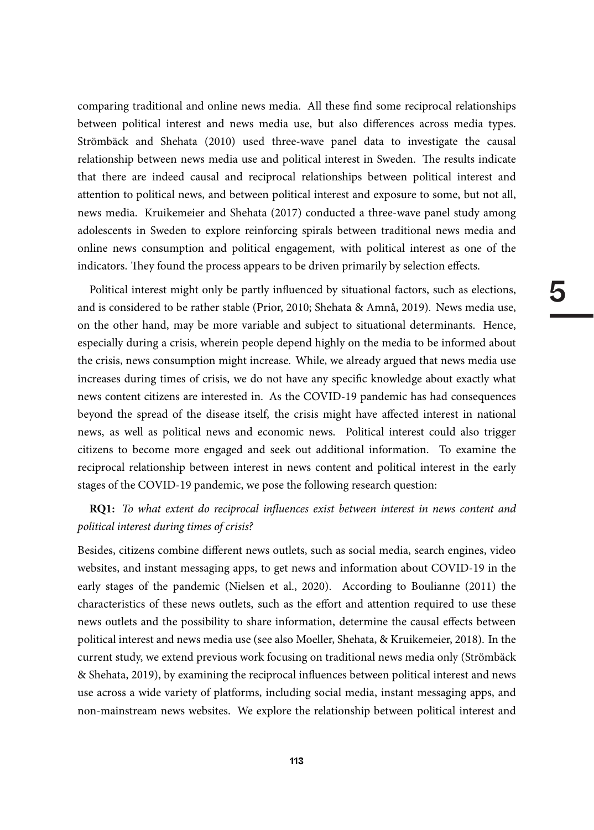comparing traditional and online news media. All these find some reciprocal relationships between political interest and news media use, but also differences across media types. Strömbäck and Shehata (2010) used three-wave panel data to investigate the causal relationship between news media use and political interest in Sweden. The results indicate that there are indeed causal and reciprocal relationships between political interest and attention to political news, and between political interest and exposure to some, but not all, news media. Kruikemeier and Shehata (2017) conducted a three-wave panel study among adolescents in Sweden to explore reinforcing spirals between traditional news media and online news consumption and political engagement, with political interest as one of the indicators. They found the process appears to be driven primarily by selection effects.

Political interest might only be partly influenced by situational factors, such as elections, and is considered to be rather stable (Prior, 2010; Shehata & Amnå, 2019). News media use, on the other hand, may be more variable and subject to situational determinants. Hence, especially during a crisis, wherein people depend highly on the media to be informed about the crisis, news consumption might increase. While, we already argued that news media use increases during times of crisis, we do not have any specific knowledge about exactly what news content citizens are interested in. As the COVID-19 pandemic has had consequences beyond the spread of the disease itself, the crisis might have affected interest in national news, as well as political news and economic news. Political interest could also trigger citizens to become more engaged and seek out additional information. To examine the reciprocal relationship between interest in news content and political interest in the early stages of the COVID-19 pandemic, we pose the following research question:

#### **RQ1:** To what extent do reciprocal influences exist between interest in news content and political interest during times of crisis?

Besides, citizens combine different news outlets, such as social media, search engines, video websites, and instant messaging apps, to get news and information about COVID-19 in the early stages of the pandemic (Nielsen et al., 2020). According to Boulianne (2011) the characteristics of these news outlets, such as the effort and attention required to use these news outlets and the possibility to share information, determine the causal effects between political interest and news media use (see also Moeller, Shehata, & Kruikemeier, 2018). In the current study, we extend previous work focusing on traditional news media only (Strömbäck & Shehata, 2019), by examining the reciprocal influences between political interest and news use across a wide variety of platforms, including social media, instant messaging apps, and non-mainstream news websites. We explore the relationship between political interest and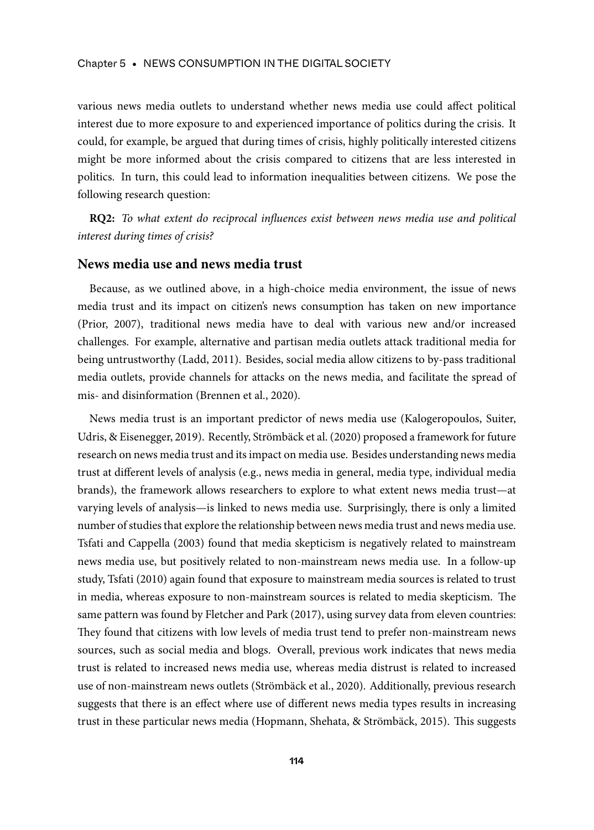various news media outlets to understand whether news media use could affect political interest due to more exposure to and experienced importance of politics during the crisis. It could, for example, be argued that during times of crisis, highly politically interested citizens might be more informed about the crisis compared to citizens that are less interested in politics. In turn, this could lead to information inequalities between citizens. We pose the following research question:

**RQ2:** To what extent do reciprocal influences exist between news media use and political interest during times of crisis?

#### **News media use and news media trust**

Because, as we outlined above, in a high-choice media environment, the issue of news media trust and its impact on citizen's news consumption has taken on new importance (Prior, 2007), traditional news media have to deal with various new and/or increased challenges. For example, alternative and partisan media outlets attack traditional media for being untrustworthy (Ladd, 2011). Besides, social media allow citizens to by-pass traditional media outlets, provide channels for attacks on the news media, and facilitate the spread of mis- and disinformation (Brennen et al., 2020).

News media trust is an important predictor of news media use (Kalogeropoulos, Suiter, Udris, & Eisenegger, 2019). Recently, Strömbäck et al. (2020) proposed a framework for future research on news media trust and its impact on media use. Besides understanding news media trust at different levels of analysis (e.g., news media in general, media type, individual media brands), the framework allows researchers to explore to what extent news media trust—at varying levels of analysis—is linked to news media use. Surprisingly, there is only a limited number of studies that explore the relationship between news media trust and news media use. Tsfati and Cappella (2003) found that media skepticism is negatively related to mainstream news media use, but positively related to non-mainstream news media use. In a follow-up study, Tsfati (2010) again found that exposure to mainstream media sources is related to trust in media, whereas exposure to non-mainstream sources is related to media skepticism. The same pattern was found by Fletcher and Park (2017), using survey data from eleven countries: They found that citizens with low levels of media trust tend to prefer non-mainstream news sources, such as social media and blogs. Overall, previous work indicates that news media trust is related to increased news media use, whereas media distrust is related to increased use of non-mainstream news outlets (Strömbäck et al., 2020). Additionally, previous research suggests that there is an effect where use of different news media types results in increasing trust in these particular news media (Hopmann, Shehata, & Strömbäck, 2015). This suggests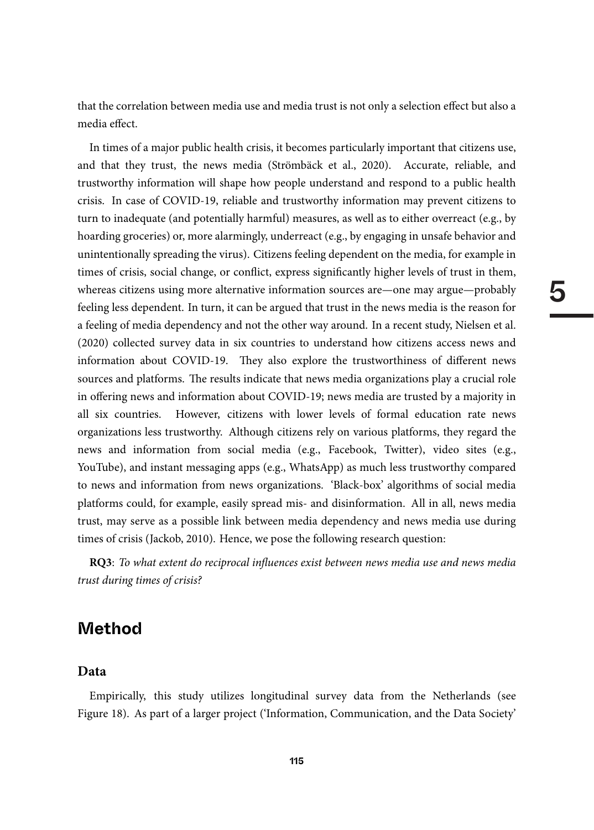that the correlation between media use and media trust is not only a selection effect but also a media effect.

In times of a major public health crisis, it becomes particularly important that citizens use, and that they trust, the news media (Strömbäck et al., 2020). Accurate, reliable, and trustworthy information will shape how people understand and respond to a public health crisis. In case of COVID-19, reliable and trustworthy information may prevent citizens to turn to inadequate (and potentially harmful) measures, as well as to either overreact (e.g., by hoarding groceries) or, more alarmingly, underreact (e.g., by engaging in unsafe behavior and unintentionally spreading the virus). Citizens feeling dependent on the media, for example in times of crisis, social change, or conflict, express significantly higher levels of trust in them, whereas citizens using more alternative information sources are—one may argue—probably feeling less dependent. In turn, it can be argued that trust in the news media is the reason for a feeling of media dependency and not the other way around. In a recent study, Nielsen et al. (2020) collected survey data in six countries to understand how citizens access news and information about COVID-19. They also explore the trustworthiness of different news sources and platforms. The results indicate that news media organizations play a crucial role in offering news and information about COVID-19; news media are trusted by a majority in all six countries. However, citizens with lower levels of formal education rate news organizations less trustworthy. Although citizens rely on various platforms, they regard the news and information from social media (e.g., Facebook, Twitter), video sites (e.g., YouTube), and instant messaging apps (e.g., WhatsApp) as much less trustworthy compared to news and information from news organizations. 'Black-box' algorithms of social media platforms could, for example, easily spread mis- and disinformation. All in all, news media trust, may serve as a possible link between media dependency and news media use during times of crisis (Jackob, 2010). Hence, we pose the following research question:

**RQ3**: To what extent do reciprocal influences exist between news media use and news media trust during times of crisis?

## **Method**

#### **Data**

Empirically, this study utilizes longitudinal survey data from the Netherlands (see Figure 18). As part of a larger project ('Information, Communication, and the Data Society'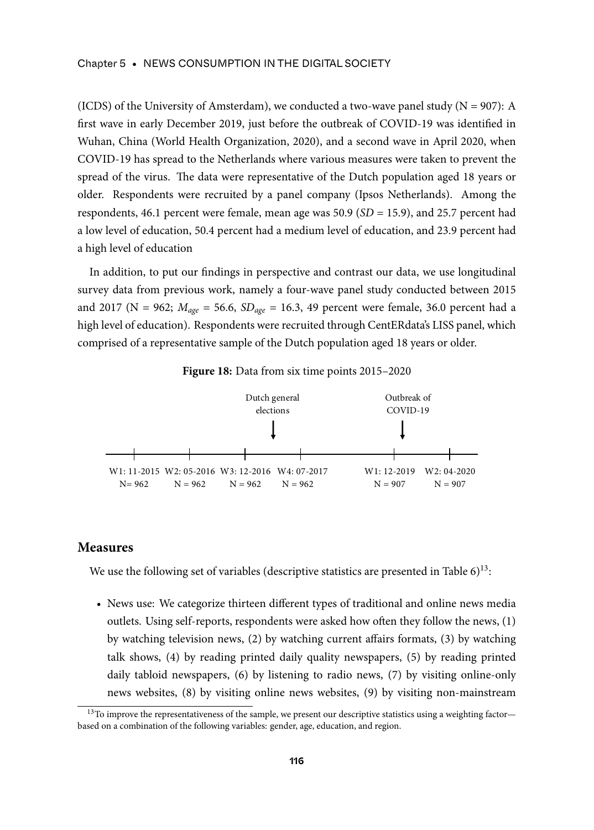#### Chapter 5 • NEWS CONSUMPTION IN THE DIGITAL SOCIETY

(ICDS) of the University of Amsterdam), we conducted a two-wave panel study ( $N = 907$ ): A first wave in early December 2019, just before the outbreak of COVID-19 was identified in Wuhan, China (World Health Organization, 2020), and a second wave in April 2020, when COVID-19 has spread to the Netherlands where various measures were taken to prevent the spread of the virus. The data were representative of the Dutch population aged 18 years or older. Respondents were recruited by a panel company (Ipsos Netherlands). Among the respondents, 46.1 percent were female, mean age was  $50.9$  ( $SD = 15.9$ ), and 25.7 percent had a low level of education, 50.4 percent had a medium level of education, and 23.9 percent had a high level of education

In addition, to put our findings in perspective and contrast our data, we use longitudinal survey data from previous work, namely a four-wave panel study conducted between 2015 and 2017 (N = 962;  $M_{age}$  = 56.6,  $SD_{age}$  = 16.3, 49 percent were female, 36.0 percent had a high level of education). Respondents were recruited through CentERdata's LISS panel, which comprised of a representative sample of the Dutch population aged 18 years or older.





#### **Measures**

We use the following set of variables (descriptive statistics are presented in Table  $6$ )<sup>13</sup>:

• News use: We categorize thirteen different types of traditional and online news media outlets. Using self-reports, respondents were asked how often they follow the news, (1) by watching television news, (2) by watching current affairs formats, (3) by watching talk shows, (4) by reading printed daily quality newspapers, (5) by reading printed daily tabloid newspapers, (6) by listening to radio news, (7) by visiting online-only news websites, (8) by visiting online news websites, (9) by visiting non-mainstream

<sup>&</sup>lt;sup>13</sup>To improve the representativeness of the sample, we present our descriptive statistics using a weighting factor based on a combination of the following variables: gender, age, education, and region.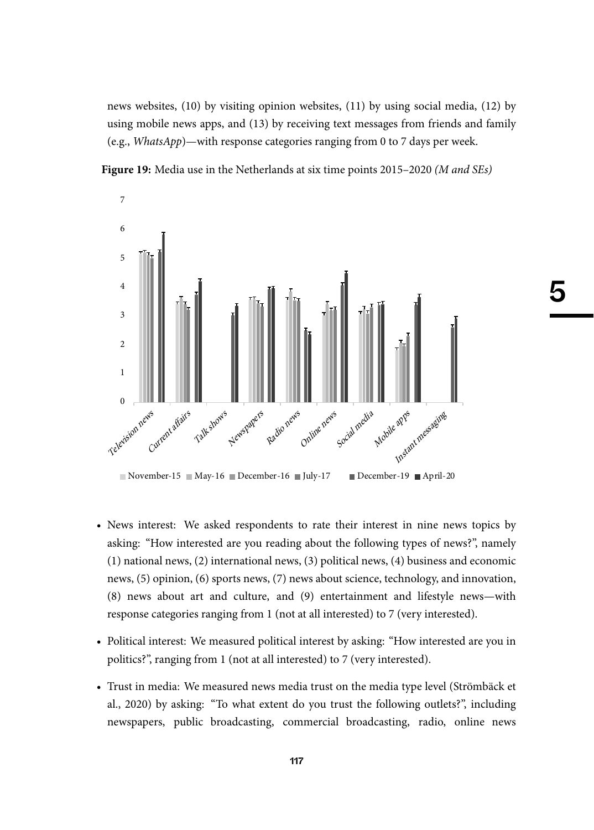news websites, (10) by visiting opinion websites, (11) by using social media, (12) by using mobile news apps, and (13) by receiving text messages from friends and family (e.g., WhatsApp)—with response categories ranging from 0 to 7 days per week.

5





- News interest: We asked respondents to rate their interest in nine news topics by asking: "How interested are you reading about the following types of news?", namely (1) national news, (2) international news, (3) political news, (4) business and economic news, (5) opinion, (6) sports news, (7) news about science, technology, and innovation, (8) news about art and culture, and (9) entertainment and lifestyle news—with response categories ranging from 1 (not at all interested) to 7 (very interested).
- Political interest: We measured political interest by asking: "How interested are you in politics?", ranging from 1 (not at all interested) to 7 (very interested).
- Trust in media: We measured news media trust on the media type level (Strömbäck et al., 2020) by asking: "To what extent do you trust the following outlets?", including newspapers, public broadcasting, commercial broadcasting, radio, online news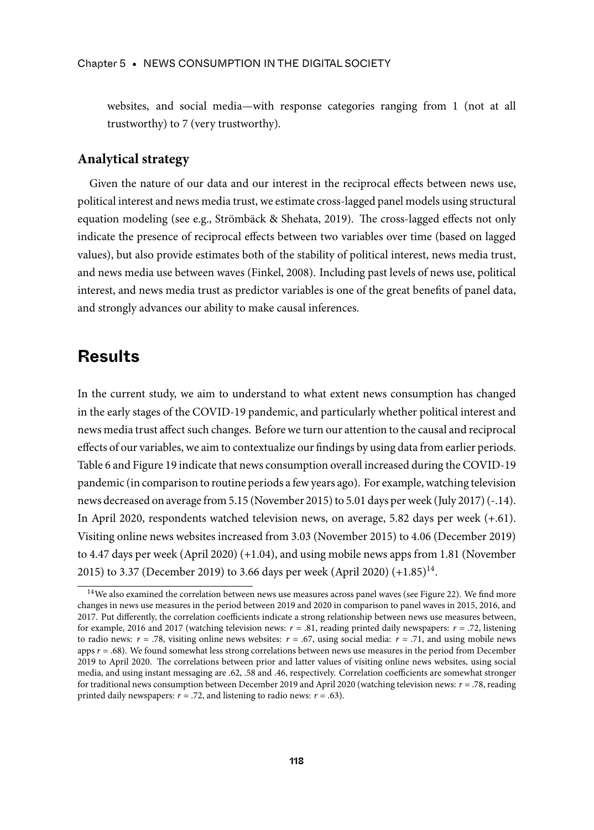websites, and social media—with response categories ranging from 1 (not at all trustworthy) to 7 (very trustworthy).

#### **Analytical strategy**

Given the nature of our data and our interest in the reciprocal effects between news use, political interest and news media trust, we estimate cross-lagged panel models using structural equation modeling (see e.g., Strömbäck & Shehata, 2019). The cross-lagged effects not only indicate the presence of reciprocal effects between two variables over time (based on lagged values), but also provide estimates both of the stability of political interest, news media trust, and news media use between waves (Finkel, 2008). Including past levels of news use, political interest, and news media trust as predictor variables is one of the great benefits of panel data, and strongly advances our ability to make causal inferences.

# **Results**

In the current study, we aim to understand to what extent news consumption has changed in the early stages of the COVID-19 pandemic, and particularly whether political interest and news media trust affect such changes. Before we turn our attention to the causal and reciprocal effects of our variables, we aim to contextualize our findings by using data from earlier periods. Table 6 and Figure 19 indicate that news consumption overall increased during the COVID-19 pandemic (in comparison to routine periods a few years ago). For example, watching television news decreased on average from 5.15 (November 2015) to 5.01 days per week (July 2017) (-.14). In April 2020, respondents watched television news, on average, 5.82 days per week (+.61). Visiting online news websites increased from 3.03 (November 2015) to 4.06 (December 2019) to 4.47 days per week (April 2020) (+1.04), and using mobile news apps from 1.81 (November 2015) to 3.37 (December 2019) to 3.66 days per week (April 2020) (+1.85)<sup>14</sup>.

<sup>&</sup>lt;sup>14</sup>We also examined the correlation between news use measures across panel waves (see Figure 22). We find more changes in news use measures in the period between 2019 and 2020 in comparison to panel waves in 2015, 2016, and 2017. Put differently, the correlation coefficients indicate a strong relationship between news use measures between, for example, 2016 and 2017 (watching television news:  $r = .81$ , reading printed daily newspapers:  $r = .72$ , listening to radio news:  $r = .78$ , visiting online news websites:  $r = .67$ , using social media:  $r = .71$ , and using mobile news apps  $r = .68$ ). We found somewhat less strong correlations between news use measures in the period from December 2019 to April 2020. The correlations between prior and latter values of visiting online news websites, using social media, and using instant messaging are .62, .58 and .46, respectively. Correlation coefficients are somewhat stronger for traditional news consumption between December 2019 and April 2020 (watching television news: r = .78, reading printed daily newspapers:  $r = .72$ , and listening to radio news:  $r = .63$ ).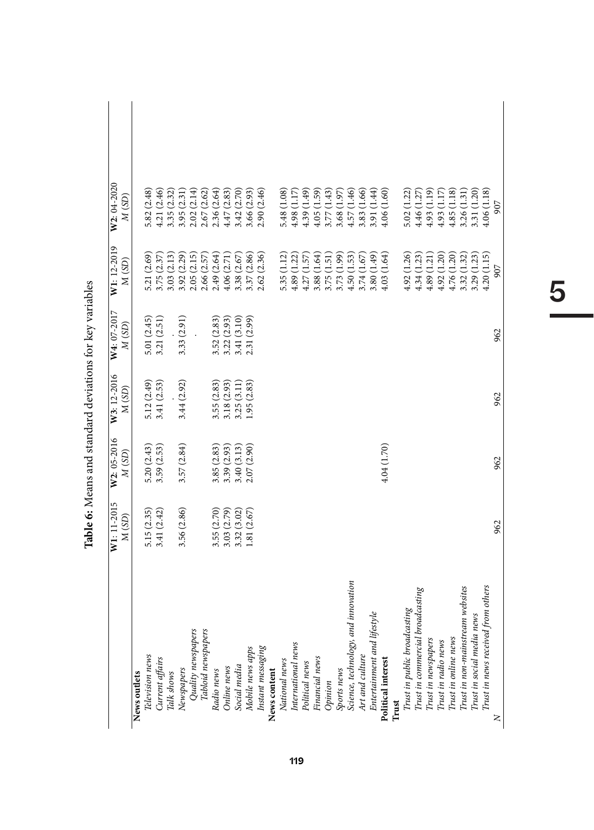|                                         | W1: 11-2015<br>M(SD) | W2: 05-2016<br>M (SD) | W3: 12-2016<br>M (SD) | $W4:07-2017$<br>M (SD)       | W1: 12-2019<br>M (SD)        | W2: 04-2020<br>M(SD) |  |
|-----------------------------------------|----------------------|-----------------------|-----------------------|------------------------------|------------------------------|----------------------|--|
| News outlets                            |                      |                       |                       |                              |                              |                      |  |
| Television news                         | 5.15 (2.35)          | 5.20(2.43)            | 5.12 (2.49)           | 5.01 (2.45)                  | 5.21 (2.69)                  | 5.82 (2.48)          |  |
| Current affairs                         | 3.41(2.42)           | 3.59 (2.53)           | 3.41 (2.53)           | 3.21 (2.51)                  | 3.75 (2.37)                  | 4.21 (2.46)          |  |
| Talk shows                              |                      |                       |                       |                              | 3.03(2.13)                   | 3.35 (2.32)          |  |
| Newspapers                              | 3.56 (2.86)          | 3.57(2.84)            | 3.44(2.92)            | 3.33(2.91)                   | $3.92(2.29)$<br>$2.05(2.15)$ | 3.95 (2.31           |  |
| Quality newspapers                      |                      |                       |                       |                              |                              | 2.02(2.14)           |  |
| Tabloid newspapers                      |                      |                       |                       |                              | 2.66 (2.57)                  | 2.67 (2.62)          |  |
| Radio news                              | 3.55 (2.70)          | 3.85(2.83)            | 3.55(2.83)            |                              | 2.49 (2.64)                  | 2.36 (2.64)          |  |
| Online news                             | 3.03 (2.79)          | 3.39 (2.93)           | 3.18 (2.93)           | $3.52(2.83)$<br>$3.22(2.93)$ | 4.06(2.71)                   | 4.47(2.83)           |  |
| Social media                            | 3.32(3.02)           | 3.40(3.13)            | 3.25 (3.11)           | 3.41 (3.10)                  | 3.38 (2.67)                  | 3.42 (2.70)          |  |
| Mobile news apps                        | 1.81(2.67)           | 2.07 (2.90)           | 1.95(2.83)            | 2.31 (2.99)                  | 3.37 (2.86)                  | 3.66 (2.93)          |  |
| Instant messaging                       |                      |                       |                       |                              | 2.62 (2.36)                  | 2.90 (2.46)          |  |
| News content                            |                      |                       |                       |                              |                              |                      |  |
| National news                           |                      |                       |                       |                              | 5.35 (1.12)                  | 5.48 (1.08)          |  |
| International news                      |                      |                       |                       |                              | 4.89(1.22)                   | 4.98 (1.17)          |  |
| Political news                          |                      |                       |                       |                              | 4.27(1.57)                   | 4.39(1.49)           |  |
| Financial news                          |                      |                       |                       |                              | 3.88 (1.64)                  | 4.05(1.59)           |  |
| Opinion                                 |                      |                       |                       |                              | 3.75(1.51)                   | 3.77(1.43)           |  |
| Sports news                             |                      |                       |                       |                              | 3.73 (1.99)                  | 3.68 (1.97)          |  |
| d innovation<br>Science, technology, an |                      |                       |                       |                              | 4.50(1.53)                   | 4.57 (1.46)          |  |
| Art and culture                         |                      |                       |                       |                              | 3.74(1.67)                   | 3.83 (1.66)          |  |
| estyle<br>Entertainment and life        |                      |                       |                       |                              | 3.80(1.49)                   | 3.91 (1.44)          |  |
| Political interest                      |                      | 4.04(1.70)            |                       |                              | 4.03(1.64)                   | 4.06(1.60)           |  |
| Trust                                   |                      |                       |                       |                              |                              |                      |  |
| Trust in public broadcasting            |                      |                       |                       |                              | 4.92 (1.26)                  | 5.02 (1.22)          |  |
| Trust in commercial broadcasting        |                      |                       |                       |                              | 4.34(1.23)                   | 4.46 (1.27           |  |
| Trust in newspapers                     |                      |                       |                       |                              | 4.89(1.21)                   | 4.93(1.19)           |  |
| Trust in radio news                     |                      |                       |                       |                              | 4.92(1.20)                   | 4.93 (1.17)          |  |
| Trust in online news                    |                      |                       |                       |                              | 4.76 (1.20)                  | 4.85(1.18)           |  |
| Trust in non-mainstream websites        |                      |                       |                       |                              | 3.32 (1.32)                  | 3.26(1.31)           |  |
| Trust in social media news              |                      |                       |                       |                              | 3.29 (1.23)                  | 3.31 (1.20)          |  |
| Trust in news received from others      |                      |                       |                       |                              | 4.20(1.15)                   | 4.06(1.18)           |  |
| $\geq$                                  | 962                  | 962                   | 962                   | 962                          | 907                          | 907                  |  |

Table 6: Means and standard deviations for key variables **Table 6:** Means and standard deviations for key variables

# 5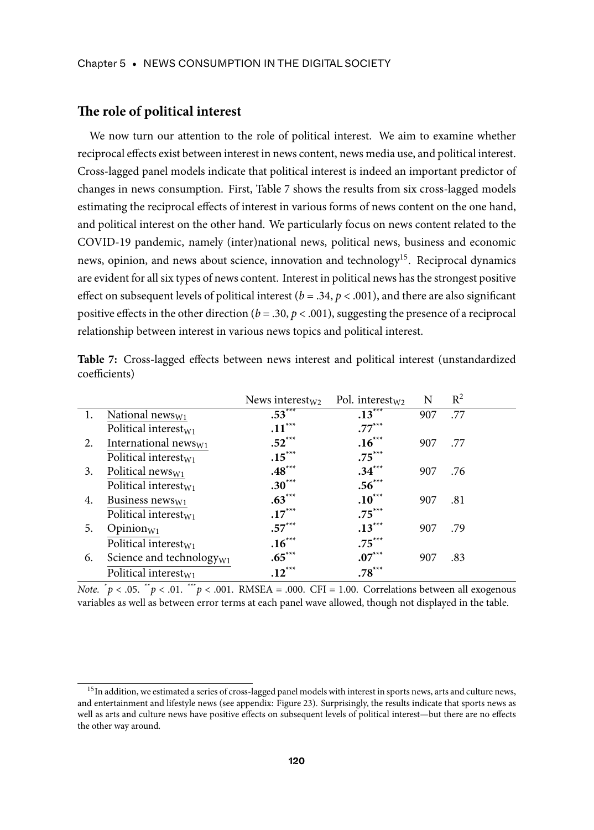#### **The role of political interest**

We now turn our attention to the role of political interest. We aim to examine whether reciprocal effects exist between interest in news content, news media use, and political interest. Cross-lagged panel models indicate that political interest is indeed an important predictor of changes in news consumption. First, Table 7 shows the results from six cross-lagged models estimating the reciprocal effects of interest in various forms of news content on the one hand, and political interest on the other hand. We particularly focus on news content related to the COVID-19 pandemic, namely (inter)national news, political news, business and economic news, opinion, and news about science, innovation and technology<sup>15</sup>. Reciprocal dynamics are evident for all six types of news content. Interest in political news has the strongest positive effect on subsequent levels of political interest ( $b = .34$ ,  $p < .001$ ), and there are also significant positive effects in the other direction ( $b = .30$ ,  $p < .001$ ), suggesting the presence of a reciprocal relationship between interest in various news topics and political interest.

|    |                                      | News interest <sub>w</sub> | Pol. interest <sub>w2</sub> | N   | $R^2$ |  |
|----|--------------------------------------|----------------------------|-----------------------------|-----|-------|--|
| 1. | National news $w_1$                  | $.53***$                   | $.13***$                    | 907 | .77   |  |
|    | Political interest $w_1$             | $.11***$                   | $.77***$                    |     |       |  |
| 2. | International news $w_1$             | $.52***$                   | $.16***$                    | 907 | .77   |  |
|    | Political interest <sub>w1</sub>     | $.15***$                   | $.75***$                    |     |       |  |
| 3. | Political news <sub>W1</sub>         | $\boldsymbol{.48}^{***}$   | $.34***$                    | 907 | .76   |  |
|    | Political interest <sub>W1</sub>     | $.30***$                   | $.56***$                    |     |       |  |
| 4. | Business news $w_1$                  | $.63***$                   | $.10***$                    | 907 | .81   |  |
|    | Political interest <sub>W1</sub>     | $.17***$                   | $.75***$                    |     |       |  |
| 5. | $Opinion_{W1}$                       | $.57***$                   | $.13***$                    | 907 | .79   |  |
|    | Political interest <sub>W1</sub>     | $.16***$                   | $.75***$                    |     |       |  |
| 6. | Science and technology <sub>W1</sub> | $.65***$                   | $.07***$                    | 907 | .83   |  |
|    | Political interest <sub>W1</sub>     | $.12***$                   | $.78***$                    |     |       |  |

**Table 7:** Cross-lagged effects between news interest and political interest (unstandardized coefficients)

*Note.*  $\phi > 0.05$ *.*  $\phi > 0.01$ *. \*\*\*p < .*001. RMSEA = .000. CFI = 1.00. Correlations between all exogenous variables as well as between error terms at each panel wave allowed, though not displayed in the table.

 $^{15}{\rm In}$  addition, we estimated a series of cross-lagged panel models with interest in sports news, arts and culture news, and entertainment and lifestyle news (see appendix: Figure 23). Surprisingly, the results indicate that sports news as well as arts and culture news have positive effects on subsequent levels of political interest—but there are no effects the other way around.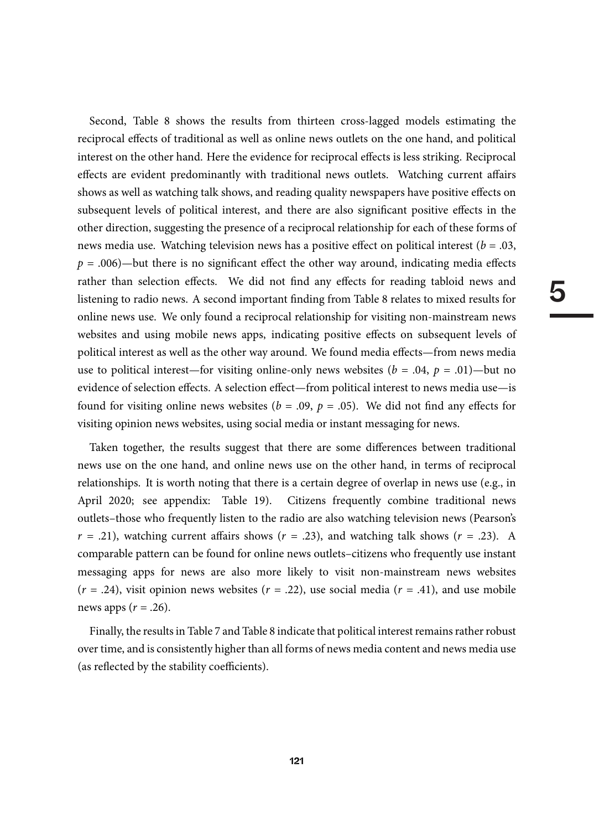5

Second, Table 8 shows the results from thirteen cross-lagged models estimating the reciprocal effects of traditional as well as online news outlets on the one hand, and political interest on the other hand. Here the evidence for reciprocal effects is less striking. Reciprocal effects are evident predominantly with traditional news outlets. Watching current affairs shows as well as watching talk shows, and reading quality newspapers have positive effects on subsequent levels of political interest, and there are also significant positive effects in the other direction, suggesting the presence of a reciprocal relationship for each of these forms of news media use. Watching television news has a positive effect on political interest ( $b = .03$ ,  $p = .006$ )—but there is no significant effect the other way around, indicating media effects rather than selection effects. We did not find any effects for reading tabloid news and listening to radio news. A second important finding from Table 8 relates to mixed results for online news use. We only found a reciprocal relationship for visiting non-mainstream news websites and using mobile news apps, indicating positive effects on subsequent levels of political interest as well as the other way around. We found media effects—from news media use to political interest—for visiting online-only news websites ( $b = .04$ ,  $p = .01$ )—but no evidence of selection effects. A selection effect—from political interest to news media use—is found for visiting online news websites ( $b = .09$ ,  $p = .05$ ). We did not find any effects for visiting opinion news websites, using social media or instant messaging for news.

Taken together, the results suggest that there are some differences between traditional news use on the one hand, and online news use on the other hand, in terms of reciprocal relationships. It is worth noting that there is a certain degree of overlap in news use (e.g., in April 2020; see appendix: Table 19). Citizens frequently combine traditional news outlets–those who frequently listen to the radio are also watching television news (Pearson's  $r = .21$ , watching current affairs shows ( $r = .23$ ), and watching talk shows ( $r = .23$ ). A comparable pattern can be found for online news outlets–citizens who frequently use instant messaging apps for news are also more likely to visit non-mainstream news websites  $(r = .24)$ , visit opinion news websites  $(r = .22)$ , use social media  $(r = .41)$ , and use mobile news apps  $(r=.26)$ .

Finally, the results in Table 7 and Table 8 indicate that political interest remains rather robust over time, and is consistently higher than all forms of news media content and news media use (as reflected by the stability coefficients).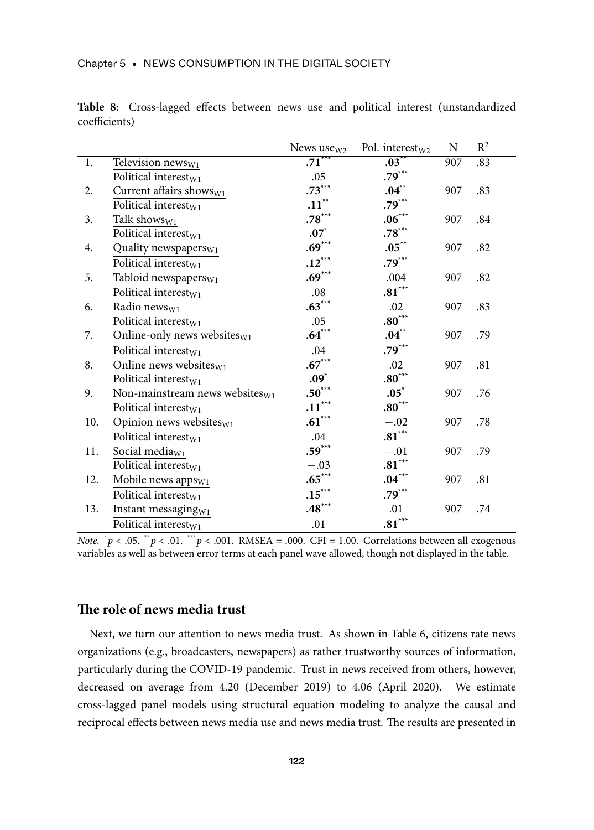|     |                                    | News use <sub>W2</sub> | Pol. interest <sub>W2</sub> | N   | $R^2$ |
|-----|------------------------------------|------------------------|-----------------------------|-----|-------|
| 1.  | Television news <sub>W1</sub>      | $.71***$               | $.03***$                    | 907 | .83   |
|     | Political interest <sub>W1</sub>   | .05                    | $.79***$                    |     |       |
| 2.  | Current affairs shows $w_1$        | $.73***$               | $\boldsymbol{.04}^{**}$     | 907 | .83   |
|     | Political interest <sub>W1</sub>   | $\mathbf{.11}^{**}$    | $.79***$                    |     |       |
| 3.  | Talk shows <sub>W1</sub>           | $.78***$               | $.06***$                    | 907 | .84   |
|     | Political interest $w_1$           | $.07^*$                | $.78***$                    |     |       |
| 4.  | Quality newspapers <sub>W1</sub>   | $.69***$               | $.05***$                    | 907 | .82   |
|     | Political interest <sub>W1</sub>   | $.12***$               | $.79***$                    |     |       |
| 5.  | Tabloid newspapers $w_1$           | $.69***$               | .004                        | 907 | .82   |
|     | Political interest <sub>W1</sub>   | $.08\,$                | $.81***$                    |     |       |
| 6.  | Radio news <sub>W1</sub>           | $.63***$               | .02                         | 907 | .83   |
|     | Political interest <sub>W1</sub>   | .05                    | $.80***$                    |     |       |
| 7.  | Online-only news websites $w_1$    | $.64***$               | $.04***$                    | 907 | .79   |
|     | Political interest <sub>W1</sub>   | .04                    | $.79***$                    |     |       |
| 8.  | Online news websites $w_1$         | $.67***$               | .02                         | 907 | .81   |
|     | Political interest $w_1$           | $.09^*$                | $.80***$                    |     |       |
| 9.  | Non-mainstream news websites $w_1$ | $.50***$               | $.05^*$                     | 907 | .76   |
|     | Political interest $w_1$           | $.11***$               | $.80***$                    |     |       |
| 10. | Opinion news websites $w_1$        | $.61***$               | $-.02$                      | 907 | .78   |
|     | Political interest <sub>W1</sub>   | .04                    | $.81***$                    |     |       |
| 11. | Social media <sub>W1</sub>         | $.59***$               | $-.01$                      | 907 | .79   |
|     | Political interest <sub>W1</sub>   | $-.03$                 | $.81***$                    |     |       |
| 12. | Mobile news apps <sub>W1</sub>     | $.65***$               | $.04***$                    | 907 | .81   |
|     | Political interest <sub>W1</sub>   | $.15***$               | $.79***$                    |     |       |
| 13. | Instant messaging <sub>W1</sub>    | $.48***$               | .01                         | 907 | .74   |
|     | Political interest $w_1$           | .01                    | $.81***$                    |     |       |

**Table 8:** Cross-lagged effects between news use and political interest (unstandardized coefficients)

Note.  $\phi > 0.05$ .  $\phi > 0.01$ .  $\phi > 0.01$ . RMSEA = .000. CFI = 1.00. Correlations between all exogenous variables as well as between error terms at each panel wave allowed, though not displayed in the table.

#### **The role of news media trust**

Next, we turn our attention to news media trust. As shown in Table 6, citizens rate news organizations (e.g., broadcasters, newspapers) as rather trustworthy sources of information, particularly during the COVID-19 pandemic. Trust in news received from others, however, decreased on average from 4.20 (December 2019) to 4.06 (April 2020). We estimate cross-lagged panel models using structural equation modeling to analyze the causal and reciprocal effects between news media use and news media trust. The results are presented in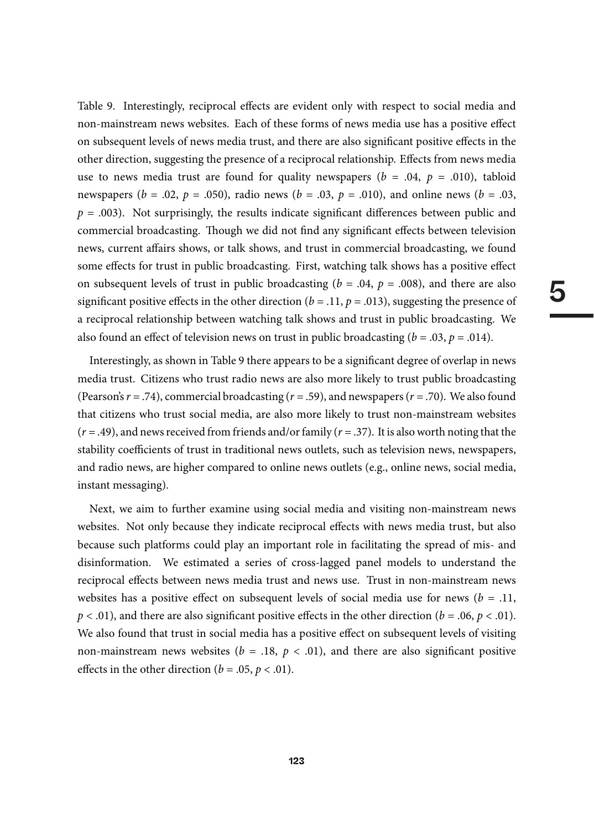Table 9. Interestingly, reciprocal effects are evident only with respect to social media and non-mainstream news websites. Each of these forms of news media use has a positive effect on subsequent levels of news media trust, and there are also significant positive effects in the other direction, suggesting the presence of a reciprocal relationship. Effects from news media use to news media trust are found for quality newspapers ( $b = .04$ ,  $p = .010$ ), tabloid newspapers ( $b = .02$ ,  $p = .050$ ), radio news ( $b = .03$ ,  $p = .010$ ), and online news ( $b = .03$ ,  $p = .003$ ). Not surprisingly, the results indicate significant differences between public and commercial broadcasting. Though we did not find any significant effects between television news, current affairs shows, or talk shows, and trust in commercial broadcasting, we found some effects for trust in public broadcasting. First, watching talk shows has a positive effect on subsequent levels of trust in public broadcasting ( $b = .04$ ,  $p = .008$ ), and there are also significant positive effects in the other direction ( $b = .11$ ,  $p = .013$ ), suggesting the presence of a reciprocal relationship between watching talk shows and trust in public broadcasting. We also found an effect of television news on trust in public broadcasting  $(b = .03, p = .014)$ .

Interestingly, as shown in Table 9 there appears to be a significant degree of overlap in news media trust. Citizens who trust radio news are also more likely to trust public broadcasting (Pearson's  $r = .74$ ), commercial broadcasting ( $r = .59$ ), and newspapers ( $r = .70$ ). We also found that citizens who trust social media, are also more likely to trust non-mainstream websites  $(r = .49)$ , and news received from friends and/or family  $(r = .37)$ . It is also worth noting that the stability coefficients of trust in traditional news outlets, such as television news, newspapers, and radio news, are higher compared to online news outlets (e.g., online news, social media, instant messaging).

Next, we aim to further examine using social media and visiting non-mainstream news websites. Not only because they indicate reciprocal effects with news media trust, but also because such platforms could play an important role in facilitating the spread of mis- and disinformation. We estimated a series of cross-lagged panel models to understand the reciprocal effects between news media trust and news use. Trust in non-mainstream news websites has a positive effect on subsequent levels of social media use for news ( $b = .11$ ,  $p < .01$ ), and there are also significant positive effects in the other direction ( $b = .06$ ,  $p < .01$ ). We also found that trust in social media has a positive effect on subsequent levels of visiting non-mainstream news websites ( $b = .18$ ,  $p < .01$ ), and there are also significant positive effects in the other direction ( $b = .05$ ,  $p < .01$ ).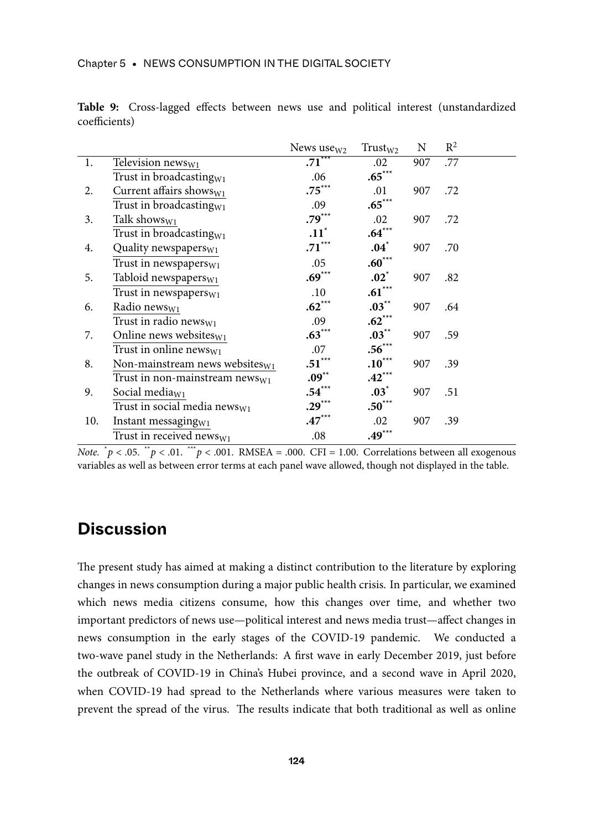|     |                                            | News use $w_2$ | $Trust_{W2}$ | N   | $R^2$ |  |
|-----|--------------------------------------------|----------------|--------------|-----|-------|--|
| 1.  | Television $news_{W1}$                     | $.71***$       | .02          | 907 | .77   |  |
|     | Trust in broadcasting $w_1$                | .06            | $.65***$     |     |       |  |
| 2.  | Current affairs shows $w_1$                | $.75***$       | .01          | 907 | .72   |  |
|     | Trust in broadcasting <sub>W1</sub>        | .09            | $.65***$     |     |       |  |
| 3.  | Talk shows $w_1$                           | $.79***$       | .02          | 907 | .72   |  |
|     | Trust in broadcasting <sub>W1</sub>        | $.11^*$        | $.64***$     |     |       |  |
| 4.  | Quality newspapers <sub>W1</sub>           | $.71***$       | $.04^*$      | 907 | .70   |  |
|     | Trust in newspapers $w_1$                  | .05            | $.60***$     |     |       |  |
| 5.  | Tabloid newspapers <sub>W1</sub>           | $.69***$       | $.02^*$      | 907 | .82   |  |
|     | Trust in newspapers $w_1$                  | .10            | $.61***$     |     |       |  |
| 6.  | Radio news <sub>W1</sub>                   | $.62***$       | $.03***$     | 907 | .64   |  |
|     | Trust in radio news <sub>W1</sub>          | .09            | $.62***$     |     |       |  |
| 7.  | Online news websites $w_1$                 | $.63***$       | $.03***$     | 907 | .59   |  |
|     | Trust in online news $w_1$                 | .07            | $.56***$     |     |       |  |
| 8.  | Non-mainstream news websites $w_1$         | $.51***$       | $.10***$     | 907 | .39   |  |
|     | Trust in non-mainstream news <sub>W1</sub> | $.09***$       | $.42***$     |     |       |  |
| 9.  | Social media $w_1$                         | $.54***$       | $.03^*$      | 907 | .51   |  |
|     | Trust in social media news $w_1$           | $.29***$       | $.50***$     |     |       |  |
| 10. | Instant messaging $w_1$                    | $.47***$       | .02          | 907 | .39   |  |
|     | Trust in received news <sub>W1</sub>       | .08            | $.49***$     |     |       |  |

**Table 9:** Cross-lagged effects between news use and political interest (unstandardized coefficients)

Note.  $\phi > 0.05$ .  $\phi > 0.01$ .  $\phi > 0.01$ . RMSEA = .000. CFI = 1.00. Correlations between all exogenous variables as well as between error terms at each panel wave allowed, though not displayed in the table.

# **Discussion**

The present study has aimed at making a distinct contribution to the literature by exploring changes in news consumption during a major public health crisis. In particular, we examined which news media citizens consume, how this changes over time, and whether two important predictors of news use—political interest and news media trust—affect changes in news consumption in the early stages of the COVID-19 pandemic. We conducted a two-wave panel study in the Netherlands: A first wave in early December 2019, just before the outbreak of COVID-19 in China's Hubei province, and a second wave in April 2020, when COVID-19 had spread to the Netherlands where various measures were taken to prevent the spread of the virus. The results indicate that both traditional as well as online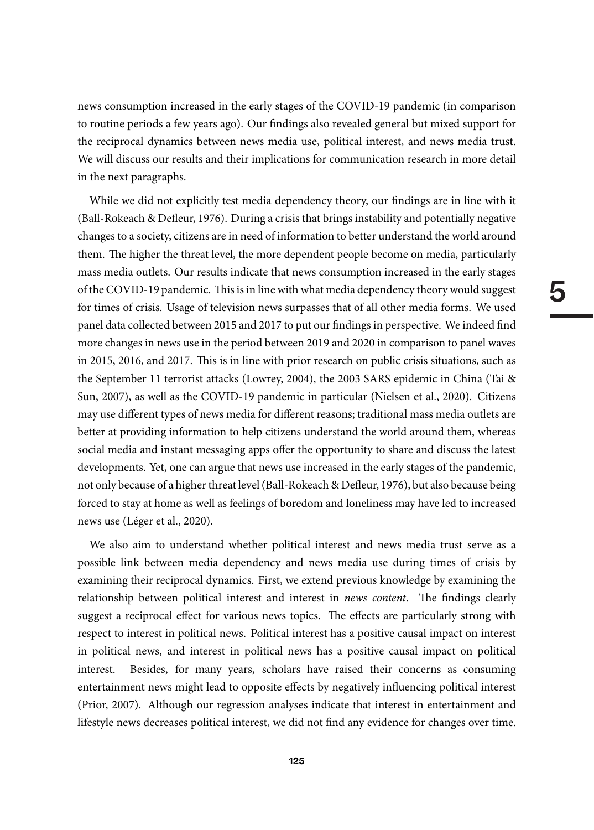news consumption increased in the early stages of the COVID-19 pandemic (in comparison to routine periods a few years ago). Our findings also revealed general but mixed support for the reciprocal dynamics between news media use, political interest, and news media trust. We will discuss our results and their implications for communication research in more detail in the next paragraphs.

While we did not explicitly test media dependency theory, our findings are in line with it (Ball-Rokeach & Defleur, 1976). During a crisis that brings instability and potentially negative changes to a society, citizens are in need of information to better understand the world around them. The higher the threat level, the more dependent people become on media, particularly mass media outlets. Our results indicate that news consumption increased in the early stages of the COVID-19 pandemic. This is in line with what media dependency theory would suggest for times of crisis. Usage of television news surpasses that of all other media forms. We used panel data collected between 2015 and 2017 to put our findings in perspective. We indeed find more changes in news use in the period between 2019 and 2020 in comparison to panel waves in 2015, 2016, and 2017. This is in line with prior research on public crisis situations, such as the September 11 terrorist attacks (Lowrey, 2004), the 2003 SARS epidemic in China (Tai & Sun, 2007), as well as the COVID-19 pandemic in particular (Nielsen et al., 2020). Citizens may use different types of news media for different reasons; traditional mass media outlets are better at providing information to help citizens understand the world around them, whereas social media and instant messaging apps offer the opportunity to share and discuss the latest developments. Yet, one can argue that news use increased in the early stages of the pandemic, not only because of a higher threat level (Ball-Rokeach & Defleur, 1976), but also because being forced to stay at home as well as feelings of boredom and loneliness may have led to increased news use (Léger et al., 2020).

We also aim to understand whether political interest and news media trust serve as a possible link between media dependency and news media use during times of crisis by examining their reciprocal dynamics. First, we extend previous knowledge by examining the relationship between political interest and interest in news content. The findings clearly suggest a reciprocal effect for various news topics. The effects are particularly strong with respect to interest in political news. Political interest has a positive causal impact on interest in political news, and interest in political news has a positive causal impact on political interest. Besides, for many years, scholars have raised their concerns as consuming entertainment news might lead to opposite effects by negatively influencing political interest (Prior, 2007). Although our regression analyses indicate that interest in entertainment and lifestyle news decreases political interest, we did not find any evidence for changes over time.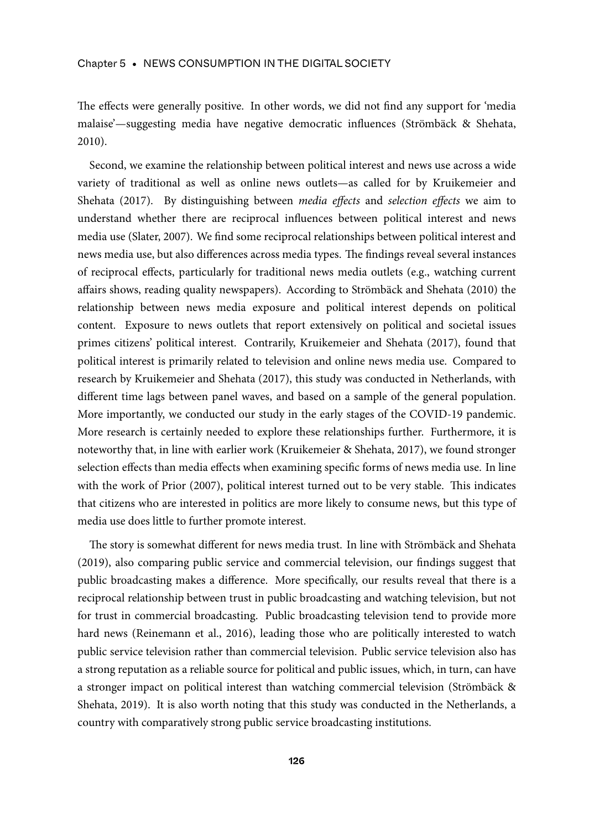The effects were generally positive. In other words, we did not find any support for 'media malaise'—suggesting media have negative democratic influences (Strömbäck & Shehata, 2010).

Second, we examine the relationship between political interest and news use across a wide variety of traditional as well as online news outlets—as called for by Kruikemeier and Shehata (2017). By distinguishing between *media effects* and *selection effects* we aim to understand whether there are reciprocal influences between political interest and news media use (Slater, 2007). We find some reciprocal relationships between political interest and news media use, but also differences across media types. The findings reveal several instances of reciprocal effects, particularly for traditional news media outlets (e.g., watching current affairs shows, reading quality newspapers). According to Strömbäck and Shehata (2010) the relationship between news media exposure and political interest depends on political content. Exposure to news outlets that report extensively on political and societal issues primes citizens' political interest. Contrarily, Kruikemeier and Shehata (2017), found that political interest is primarily related to television and online news media use. Compared to research by Kruikemeier and Shehata (2017), this study was conducted in Netherlands, with different time lags between panel waves, and based on a sample of the general population. More importantly, we conducted our study in the early stages of the COVID-19 pandemic. More research is certainly needed to explore these relationships further. Furthermore, it is noteworthy that, in line with earlier work (Kruikemeier & Shehata, 2017), we found stronger selection effects than media effects when examining specific forms of news media use. In line with the work of Prior (2007), political interest turned out to be very stable. This indicates that citizens who are interested in politics are more likely to consume news, but this type of media use does little to further promote interest.

The story is somewhat different for news media trust. In line with Strömbäck and Shehata (2019), also comparing public service and commercial television, our findings suggest that public broadcasting makes a difference. More specifically, our results reveal that there is a reciprocal relationship between trust in public broadcasting and watching television, but not for trust in commercial broadcasting. Public broadcasting television tend to provide more hard news (Reinemann et al., 2016), leading those who are politically interested to watch public service television rather than commercial television. Public service television also has a strong reputation as a reliable source for political and public issues, which, in turn, can have a stronger impact on political interest than watching commercial television (Strömbäck & Shehata, 2019). It is also worth noting that this study was conducted in the Netherlands, a country with comparatively strong public service broadcasting institutions.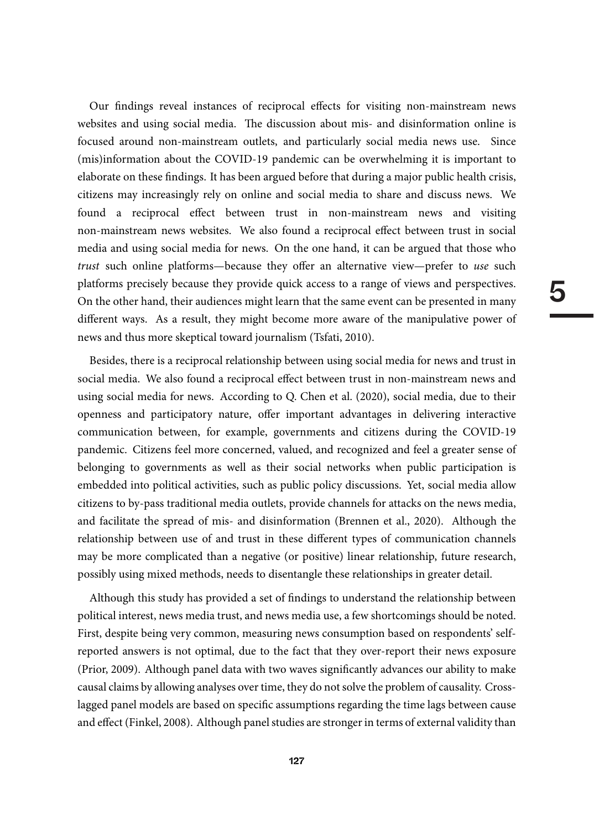5

Our findings reveal instances of reciprocal effects for visiting non-mainstream news websites and using social media. The discussion about mis- and disinformation online is focused around non-mainstream outlets, and particularly social media news use. Since (mis)information about the COVID-19 pandemic can be overwhelming it is important to elaborate on these findings. It has been argued before that during a major public health crisis, citizens may increasingly rely on online and social media to share and discuss news. We found a reciprocal effect between trust in non-mainstream news and visiting non-mainstream news websites. We also found a reciprocal effect between trust in social media and using social media for news. On the one hand, it can be argued that those who trust such online platforms—because they offer an alternative view—prefer to use such platforms precisely because they provide quick access to a range of views and perspectives. On the other hand, their audiences might learn that the same event can be presented in many different ways. As a result, they might become more aware of the manipulative power of news and thus more skeptical toward journalism (Tsfati, 2010).

Besides, there is a reciprocal relationship between using social media for news and trust in social media. We also found a reciprocal effect between trust in non-mainstream news and using social media for news. According to Q. Chen et al. (2020), social media, due to their openness and participatory nature, offer important advantages in delivering interactive communication between, for example, governments and citizens during the COVID-19 pandemic. Citizens feel more concerned, valued, and recognized and feel a greater sense of belonging to governments as well as their social networks when public participation is embedded into political activities, such as public policy discussions. Yet, social media allow citizens to by-pass traditional media outlets, provide channels for attacks on the news media, and facilitate the spread of mis- and disinformation (Brennen et al., 2020). Although the relationship between use of and trust in these different types of communication channels may be more complicated than a negative (or positive) linear relationship, future research, possibly using mixed methods, needs to disentangle these relationships in greater detail.

Although this study has provided a set of findings to understand the relationship between political interest, news media trust, and news media use, a few shortcomings should be noted. First, despite being very common, measuring news consumption based on respondents' selfreported answers is not optimal, due to the fact that they over-report their news exposure (Prior, 2009). Although panel data with two waves significantly advances our ability to make causal claims by allowing analyses over time, they do not solve the problem of causality. Crosslagged panel models are based on specific assumptions regarding the time lags between cause and effect (Finkel, 2008). Although panel studies are stronger in terms of external validity than